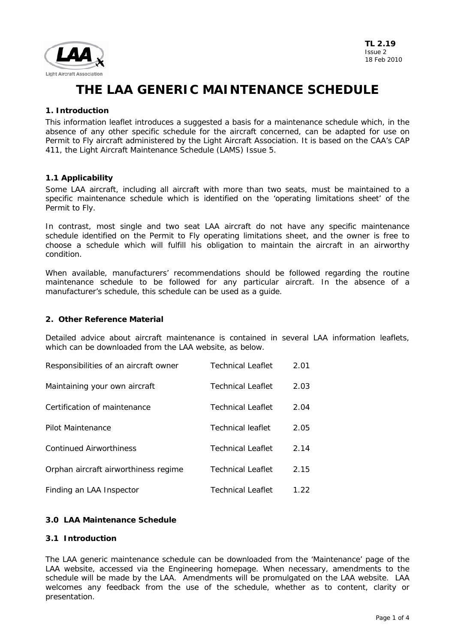

## **1. Introduction**

This information leaflet introduces a suggested a basis for a maintenance schedule which, in the absence of any other specific schedule for the aircraft concerned, can be adapted for use on Permit to Fly aircraft administered by the Light Aircraft Association. It is based on the CAA's CAP 411, the Light Aircraft Maintenance Schedule (LAMS) Issue 5.

### **1.1 Applicability**

Some LAA aircraft, including all aircraft with more than two seats, must be maintained to a specific maintenance schedule which is identified on the 'operating limitations sheet' of the Permit to Fly.

In contrast, most single and two seat LAA aircraft do not have any specific maintenance schedule identified on the Permit to Fly operating limitations sheet, and the owner is free to choose a schedule which will fulfill his obligation to maintain the aircraft in an airworthy condition.

When available, manufacturers' recommendations should be followed regarding the routine maintenance schedule to be followed for any particular aircraft. In the absence of a manufacturer's schedule, this schedule can be used as a guide.

### **2. Other Reference Material**

Detailed advice about aircraft maintenance is contained in several LAA information leaflets, which can be downloaded from the LAA website, as below.

| Responsibilities of an aircraft owner | <b>Technical Leaflet</b> | 2.01 |
|---------------------------------------|--------------------------|------|
| Maintaining your own aircraft         | Technical Leaflet        | 2.03 |
| Certification of maintenance          | Technical Leaflet        | 2.04 |
| Pilot Maintenance                     | Technical leaflet        | 2.05 |
| <b>Continued Airworthiness</b>        | <b>Technical Leaflet</b> | 2.14 |
| Orphan aircraft airworthiness regime  | <b>Technical Leaflet</b> | 2.15 |
| Finding an LAA Inspector              | Technical Leaflet        | 1.22 |

# **3.0 LAA Maintenance Schedule**

### **3.1 Introduction**

The LAA generic maintenance schedule can be downloaded from the 'Maintenance' page of the LAA website, accessed via the Engineering homepage. When necessary, amendments to the schedule will be made by the LAA. Amendments will be promulgated on the LAA website. LAA welcomes any feedback from the use of the schedule, whether as to content, clarity or presentation.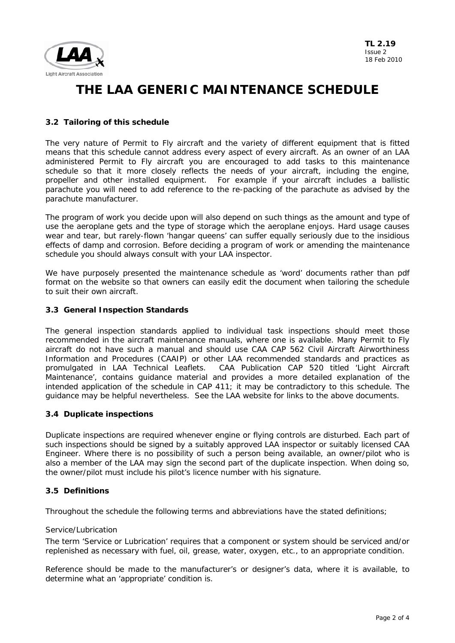

# **3.2 Tailoring of this schedule**

The very nature of Permit to Fly aircraft and the variety of different equipment that is fitted means that this schedule cannot address every aspect of every aircraft. As an owner of an LAA administered Permit to Fly aircraft you are encouraged to add tasks to this maintenance schedule so that it more closely reflects the needs of your aircraft, including the engine, propeller and other installed equipment. For example if your aircraft includes a ballistic parachute you will need to add reference to the re-packing of the parachute as advised by the parachute manufacturer.

The program of work you decide upon will also depend on such things as the amount and type of use the aeroplane gets and the type of storage which the aeroplane enjoys. Hard usage causes wear and tear, but rarely-flown 'hangar queens' can suffer equally seriously due to the insidious effects of damp and corrosion. Before deciding a program of work or amending the maintenance schedule you should always consult with your LAA inspector.

We have purposely presented the maintenance schedule as 'word' documents rather than pdf format on the website so that owners can easily edit the document when tailoring the schedule to suit their own aircraft.

## **3.3 General Inspection Standards**

The general inspection standards applied to individual task inspections should meet those recommended in the aircraft maintenance manuals, where one is available. Many Permit to Fly aircraft do not have such a manual and should use CAA CAP 562 Civil Aircraft Airworthiness Information and Procedures (CAAIP) or other LAA recommended standards and practices as promulgated in LAA Technical Leaflets. CAA Publication CAP 520 titled 'Light Aircraft Maintenance', contains guidance material and provides a more detailed explanation of the intended application of the schedule in CAP 411; it may be contradictory to this schedule. The guidance may be helpful nevertheless. See the LAA website for links to the above documents.

# **3.4 Duplicate inspections**

Duplicate inspections are required whenever engine or flying controls are disturbed. Each part of such inspections should be signed by a suitably approved LAA inspector or suitably licensed CAA Engineer. Where there is no possibility of such a person being available, an owner/pilot who is also a member of the LAA may sign the second part of the duplicate inspection. When doing so, the owner/pilot must include his pilot's licence number with his signature.

# **3.5 Definitions**

Throughout the schedule the following terms and abbreviations have the stated definitions;

### Service/Lubrication

The term 'Service or Lubrication' requires that a component or system should be serviced and/or replenished as necessary with fuel, oil, grease, water, oxygen, etc., to an appropriate condition.

Reference should be made to the manufacturer's or designer's data, where it is available, to determine what an 'appropriate' condition is.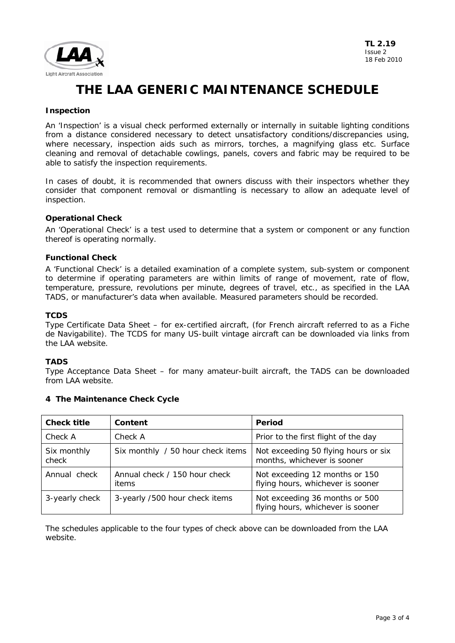

### **Inspection**

An 'Inspection' is a visual check performed externally or internally in suitable lighting conditions from a distance considered necessary to detect unsatisfactory conditions/discrepancies using, where necessary, inspection aids such as mirrors, torches, a magnifying glass etc. Surface cleaning and removal of detachable cowlings, panels, covers and fabric may be required to be able to satisfy the inspection requirements.

In cases of doubt, it is recommended that owners discuss with their inspectors whether they consider that component removal or dismantling is necessary to allow an adequate level of inspection.

### **Operational Check**

An 'Operational Check' is a test used to determine that a system or component or any function thereof is operating normally.

## **Functional Check**

A 'Functional Check' is a detailed examination of a complete system, sub-system or component to determine if operating parameters are within limits of range of movement, rate of flow, temperature, pressure, revolutions per minute, degrees of travel, etc., as specified in the LAA TADS, or manufacturer's data when available. Measured parameters should be recorded.

## **TCDS**

Type Certificate Data Sheet – for ex-certified aircraft, (for French aircraft referred to as a Fiche de Navigabilite). The TCDS for many US-built vintage aircraft can be downloaded via links from the LAA website.

# **TADS**

Type Acceptance Data Sheet – for many amateur-built aircraft, the TADS can be downloaded from LAA website.

| <b>Check title</b>   | Content                                | Period                                                              |
|----------------------|----------------------------------------|---------------------------------------------------------------------|
| Check A              | Check A                                | Prior to the first flight of the day                                |
| Six monthly<br>check | Six monthly / 50 hour check items      | Not exceeding 50 flying hours or six<br>months, whichever is sooner |
| Annual check         | Annual check / 150 hour check<br>items | Not exceeding 12 months or 150<br>flying hours, whichever is sooner |
| 3-yearly check       | 3-yearly /500 hour check items         | Not exceeding 36 months or 500<br>flying hours, whichever is sooner |

### **4 The Maintenance Check Cycle**

The schedules applicable to the four types of check above can be downloaded from the LAA website.